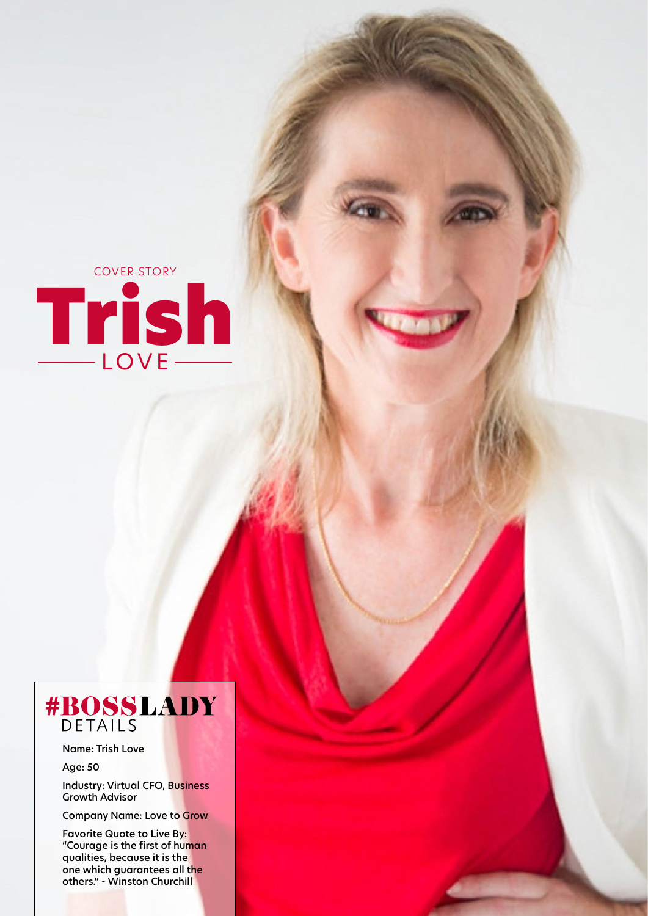

## #BOSSLADY

Name: Trish Love

Age: 50

Industry: Virtual CFO, Business Growth Advisor

Company Name: Love to Grow

Favorite Quote to Live By: "Courage is the first of human qualities, because it is the one which guarantees all the others." - Winston Churchill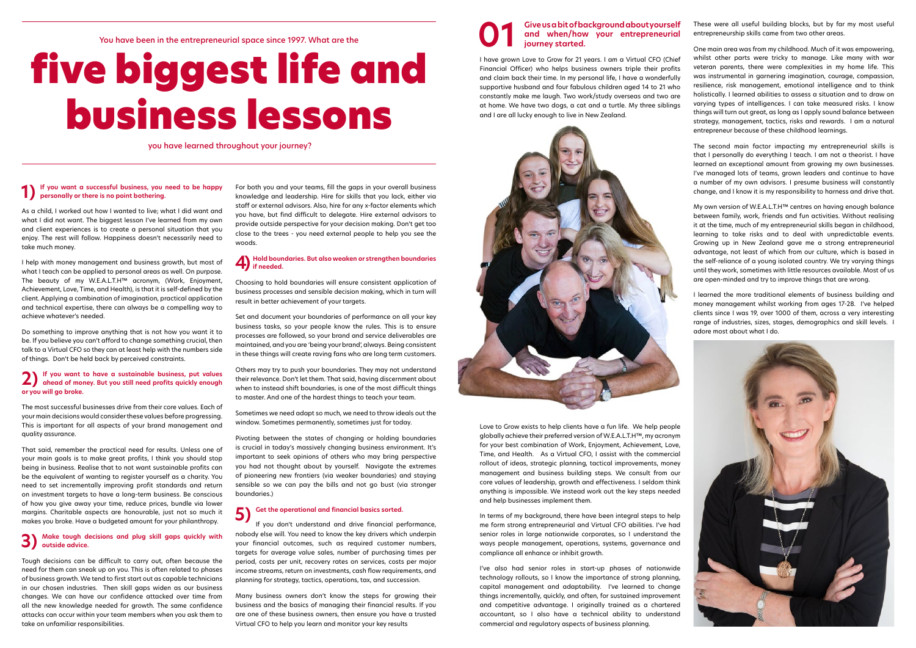### Give us a bit of background about yourself<br>and when/how your entrepreneurial<br>journey started. **and when/how your entrepreneurial journey started.**

I have grown Love to Grow for 21 years. I am a Virtual CFO (Chief Financial Officer) who helps business owners triple their profits and claim back their time. In my personal life, I have a wonderfully supportive husband and four fabulous children aged 14 to 21 who constantly make me laugh. Two work/study overseas and two are at home. We have two dogs, a cat and a turtle. My three siblings and I are all lucky enough to live in New Zealand.



Love to Grow exists to help clients have a fun life. We help people globally achieve their preferred version of W.E.A.L.T.H™, my acronym for your best combination of Work, Enjoyment, Achievement, Love, Time, and Health. As a Virtual CFO, I assist with the commercial rollout of ideas, strategic planning, tactical improvements, money management and business building steps. We consult from our core values of leadership, growth and effectiveness. I seldom think anything is impossible. We instead work out the key steps needed and help businesses implement them.

In terms of my background, there have been integral steps to help me form strong entrepreneurial and Virtual CFO abilities. I've had senior roles in large nationwide corporates, so I understand the ways people management, operations, systems, governance and compliance all enhance or inhibit growth.

I've also had senior roles in start-up phases of nationwide technology rollouts, so I know the importance of strong planning, capital management and adaptability. I've learned to change things incrementally, quickly, and often, for sustained improvement and competitive advantage. I originally trained as a chartered accountant, so I also have a technical ability to understand commercial and regulatory aspects of business planning.

These were all useful building blocks, but by far my most useful entrepreneurship skills came from two other areas.

One main area was from my childhood. Much of it was empowering, whilst other parts were tricky to manage. Like many with war veteran parents, there were complexities in my home life. This was instrumental in garnering imagination, courage, compassion, resilience, risk management, emotional intelligence and to think holistically. I learned abilities to assess a situation and to draw on varying types of intelligences. I can take measured risks. I know things will turn out great, as long as I apply sound balance between strategy, management, tactics, risks and rewards. I am a natural entrepreneur because of these childhood learnings.

The second main factor impacting my entrepreneurial skills is that I personally do everything I teach. I am not a theorist. I have learned an exceptional amount from growing my own businesses. I've managed lots of teams, grown leaders and continue to have a number of my own advisors. I presume business will constantly change, and I know it is my responsibility to harness and drive that.

My own version of W.E.A.L.T.H™ centres on having enough balance between family, work, friends and fun activities. Without realising it at the time, much of my entrepreneurial skills began in childhood, learning to take risks and to deal with unpredictable events. Growing up in New Zealand gave me a strong entrepreneurial advantage, not least of which from our culture, which is based in the self-reliance of a young isolated country. We try varying things until they work, sometimes with little resources available. Most of us are open-minded and try to improve things that are wrong.

I learned the more traditional elements of business building and money management whilst working from ages 17-28. I've helped clients since I was 19, over 1000 of them, across a very interesting range of industries, sizes, stages, demographics and skill levels. I adore most about what I do.



You have been in the entrepreneurial space since 1997. What are the

# five biggest life and business lessons

you have learned throughout your journey?

#### **1) If you want a successful business, you need to be happy personally or there is no point bothering.**

As a child, I worked out how I wanted to live; what I did want and what I did not want. The biggest lesson I've learned from my own and client experiences is to create a personal situation that you enjoy. The rest will follow. Happiness doesn't necessarily need to take much money.

I help with money management and business growth, but most of what I teach can be applied to personal areas as well. On purpose. The beauty of my W.E.A.L.T.H™ acronym, (Work, Enjoyment, Achievement, Love, Time, and Health), is that it is self-defined by the client. Applying a combination of imagination, practical application and technical expertise, there can always be a compelling way to achieve whatever's needed.

Do something to improve anything that is not how you want it to be. If you believe you can't afford to change something crucial, then talk to a Virtual CFO so they can at least help with the numbers side of things. Don't be held back by perceived constraints.

### **2) If you want to have a sustainable business, put values ahead of money. But you still need profits quickly enough or you will go broke.**

The most successful businesses drive from their core values. Each of your main decisions would consider these values before progressing. This is important for all aspects of your brand management and quality assurance.

That said, remember the practical need for results. Unless one of your main goals is to make great profits, I think you should stop being in business. Realise that to not want sustainable profits can be the equivalent of wanting to register yourself as a charity. You need to set incrementally improving profit standards and return on investment targets to have a long-term business. Be conscious of how you give away your time, reduce prices, bundle via lower margins. Charitable aspects are honourable, just not so much it makes you broke. Have a budgeted amount for your philanthropy.

#### **3) Make tough decisions and plug skill gaps quickly with outside advice.**

Tough decisions can be difficult to carry out, often because the need for them can sneak up on you. This is often related to phases of business growth. We tend to first start out as capable technicians in our chosen industries. Then skill gaps widen as our business changes. We can have our confidence attacked over time from all the new knowledge needed for growth. The same confidence attacks can occur within your team members when you ask them to take on unfamiliar responsibilities.

For both you and your teams, fill the gaps in your overall business knowledge and leadership. Hire for skills that you lack, either via staff or external advisors. Also, hire for any x-factor elements which you have, but find difficult to delegate. Hire external advisors to provide outside perspective for your decision making. Don't get too close to the trees - you need external people to help you see the woods.

### **4) Hold boundaries. But also weaken or strengthen boundaries if needed.**

Choosing to hold boundaries will ensure consistent application of business processes and sensible decision making, which in turn will result in better achievement of your targets.

Set and document your boundaries of performance on all your key business tasks, so your people know the rules. This is to ensure processes are followed, so your brand and service deliverables are maintained, and you are 'being your brand', always. Being consistent in these things will create raving fans who are long term customers.

Others may try to push your boundaries. They may not understand their relevance. Don't let them. That said, having discernment about when to instead shift boundaries, is one of the most difficult things to master. And one of the hardest things to teach your team.

Sometimes we need adapt so much, we need to throw ideals out the window. Sometimes permanently, sometimes just for today.

Pivoting between the states of changing or holding boundaries is crucial in today's massively changing business environment. It's important to seek opinions of others who may bring perspective you had not thought about by yourself. Navigate the extremes of pioneering new frontiers (via weaker boundaries) and staying sensible so we can pay the bills and not go bust (via stronger boundaries.)

### **5)** Get the operational and financial basics sorted.

If you don't understand and drive financial performance, nobody else will. You need to know the key drivers which underpin your financial outcomes, such as required customer numbers, targets for average value sales, number of purchasing times per period, costs per unit, recovery rates on services, costs per major income streams, return on investments, cash flow requirements, and planning for strategy, tactics, operations, tax, and succession.

Many business owners don't know the steps for growing their business and the basics of managing their financial results. If you are one of these business owners, then ensure you have a trusted Virtual CFO to help you learn and monitor your key results